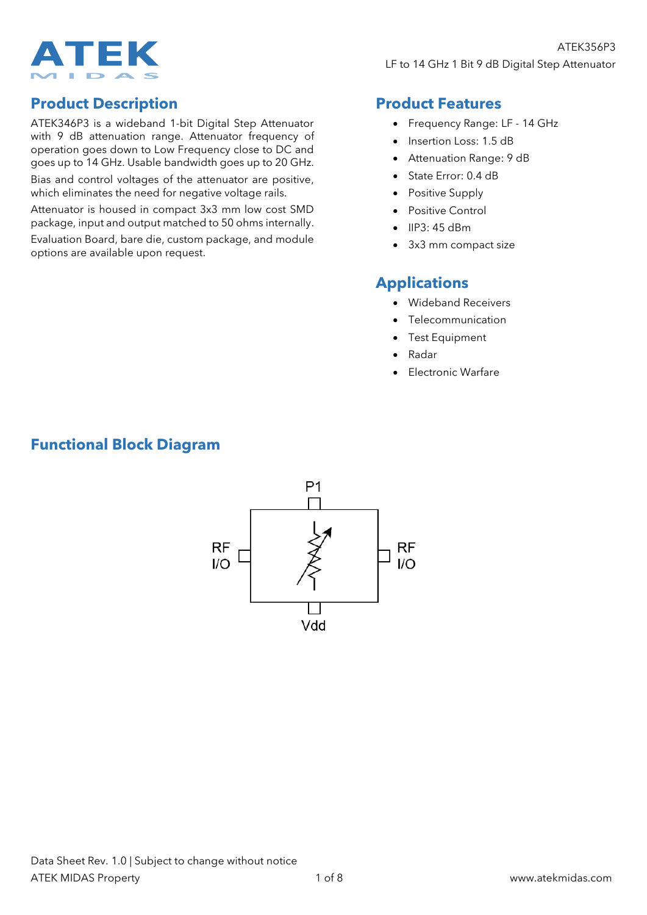

## **Product Description**

ATEK346P3 is a wideband 1-bit Digital Step Attenuator with 9 dB attenuation range. Attenuator frequency of operation goes down to Low Frequency close to DC and goes up to 14 GHz. Usable bandwidth goes up to 20 GHz.

Bias and control voltages of the attenuator are positive, which eliminates the need for negative voltage rails.

Attenuator is housed in compact 3x3 mm low cost SMD package, input and output matched to 50 ohms internally.

Evaluation Board, bare die, custom package, and module options are available upon request.

### **Product Features**

- Frequency Range: LF 14 GHz
- Insertion Loss: 1.5 dB
- Attenuation Range: 9 dB
- State Error: 0.4 dB
- Positive Supply
- Positive Control
- IIP3: 45 dBm
- 3x3 mm compact size

#### **Applications**

- Wideband Receivers
- **Telecommunication**
- Test Equipment
- Radar
- Electronic Warfare

# **Functional Block Diagram**

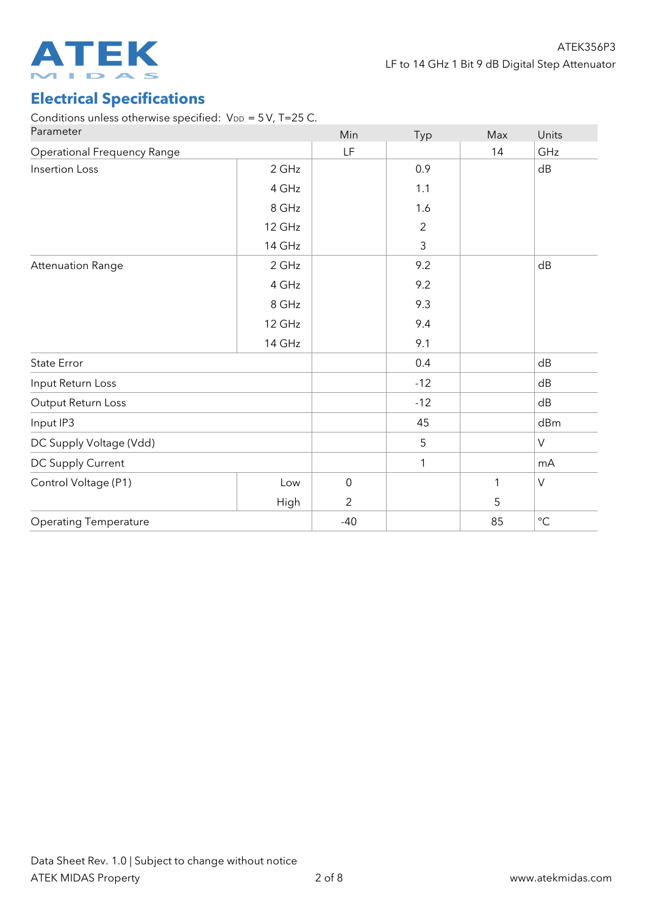

# **Electrical Specifications**

Conditions unless otherwise specified:  $V_{DD}$  = 5V, T=25 C.

| Parameter                          |             | Min              | Typ            | Max          | Units       |
|------------------------------------|-------------|------------------|----------------|--------------|-------------|
| <b>Operational Frequency Range</b> |             | <b>LF</b>        |                | 14           | GHz         |
| <b>Insertion Loss</b>              | 2 GHz       |                  | 0.9            |              | dB          |
|                                    | 4 GHz       |                  | 1.1            |              |             |
|                                    | 8 GHz       |                  | 1.6            |              |             |
|                                    | 12 GHz      |                  | $\overline{2}$ |              |             |
|                                    | 14 GHz      |                  | $\mathsf{3}$   |              |             |
| <b>Attenuation Range</b>           | 2 GHz       |                  | 9.2            |              | dB          |
|                                    | 4 GHz       |                  | 9.2            |              |             |
|                                    | 8 GHz       |                  | 9.3            |              |             |
|                                    | 12 GHz      |                  | 9.4            |              |             |
|                                    | 14 GHz      |                  | 9.1            |              |             |
| State Error                        |             |                  | 0.4            |              | dB          |
| Input Return Loss                  |             |                  | $-12$          |              | dB          |
| Output Return Loss                 |             |                  | $-12$          |              | dB          |
| Input IP3                          |             |                  | 45             |              | dBm         |
| DC Supply Voltage (Vdd)            |             |                  | 5              |              | V           |
| DC Supply Current                  |             |                  | 1              |              | mA          |
| Control Voltage (P1)               | Low         | $\boldsymbol{0}$ |                | $\mathbf{1}$ | V           |
|                                    | <b>High</b> | $\overline{2}$   |                | 5            |             |
| <b>Operating Temperature</b>       |             | $-40$            |                | 85           | $^{\circ}C$ |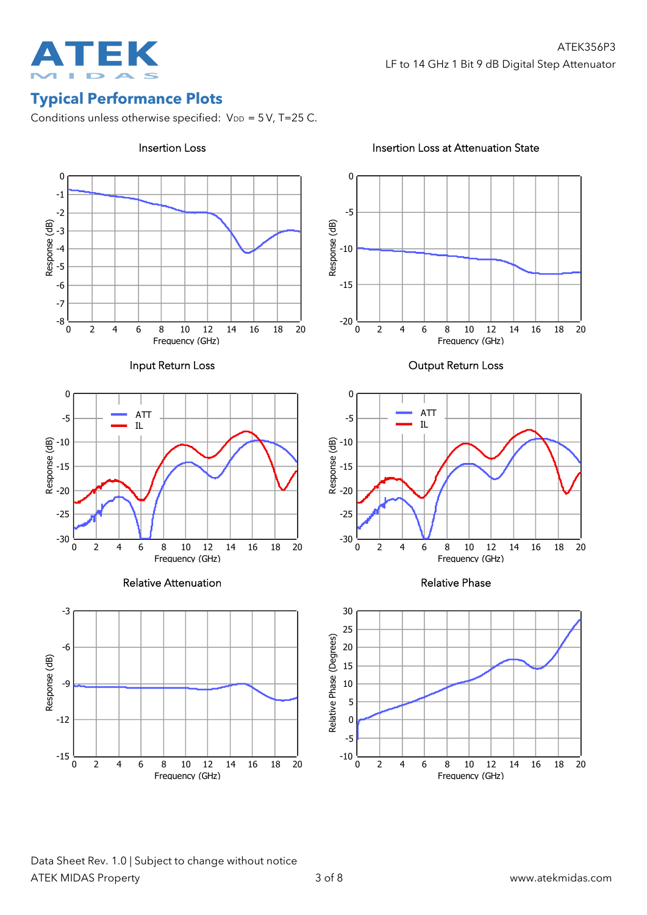

# **Typical Performance Plots**

Conditions unless otherwise specified:  $V_{DD} = 5V$ , T=25 C.



 $20\,$ 

18

 $20$ 

18

20

18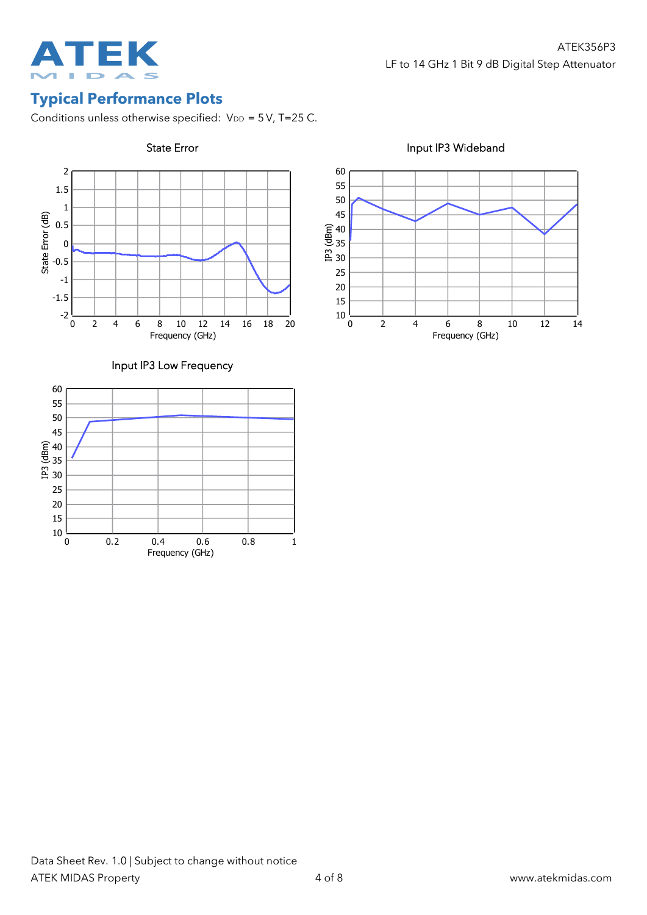

# **Typical Performance Plots**

Conditions unless otherwise specified:  $V_{DD} = 5V$ , T=25 C.



State Error **Input IP3 Wideband** 



#### Input IP3 Low Frequency

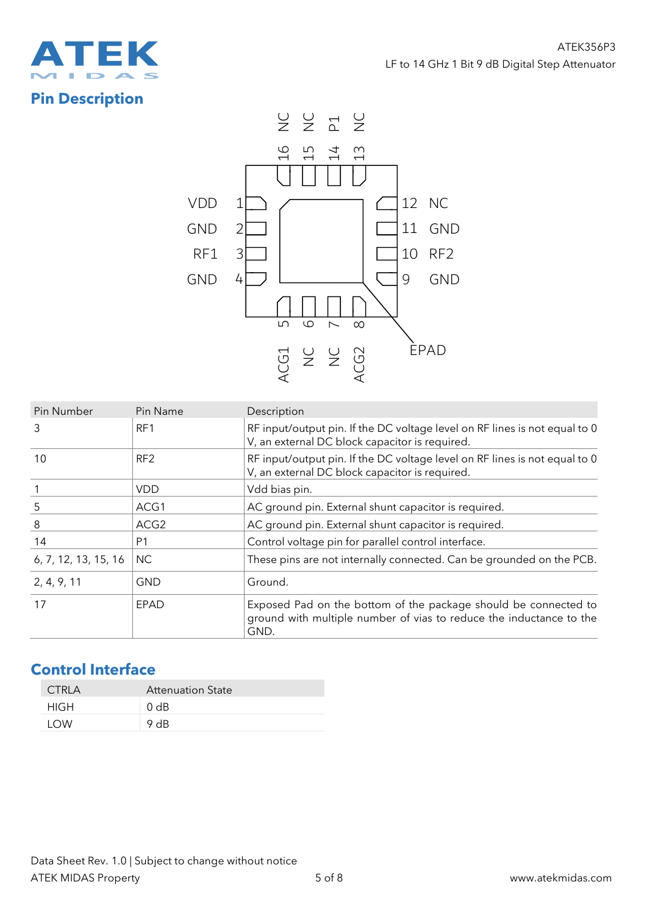

# **Pin Description**



| Pin Number           | Pin Name         | Description                                                                                                                                    |  |  |
|----------------------|------------------|------------------------------------------------------------------------------------------------------------------------------------------------|--|--|
| 3                    | RF1              | RF input/output pin. If the DC voltage level on RF lines is not equal to 0<br>V, an external DC block capacitor is required.                   |  |  |
| 10                   | RF <sub>2</sub>  | RF input/output pin. If the DC voltage level on RF lines is not equal to 0<br>V, an external DC block capacitor is required.                   |  |  |
|                      | VDD              | Vdd bias pin.                                                                                                                                  |  |  |
| 5                    | ACG1             | AC ground pin. External shunt capacitor is required.                                                                                           |  |  |
| 8                    | ACG <sub>2</sub> | AC ground pin. External shunt capacitor is required.                                                                                           |  |  |
| 14                   | P <sub>1</sub>   | Control voltage pin for parallel control interface.                                                                                            |  |  |
| 6, 7, 12, 13, 15, 16 | <b>NC</b>        | These pins are not internally connected. Can be grounded on the PCB.                                                                           |  |  |
| 2, 4, 9, 11          | <b>GND</b>       | Ground.                                                                                                                                        |  |  |
| 17                   | EPAD             | Exposed Pad on the bottom of the package should be connected to<br>ground with multiple number of vias to reduce the inductance to the<br>GND. |  |  |

# **Control Interface**

| CTRI A | <b>Attenuation State</b> |
|--------|--------------------------|
| HIGH   | 0 dB                     |
| I OW   | 9 $AB$                   |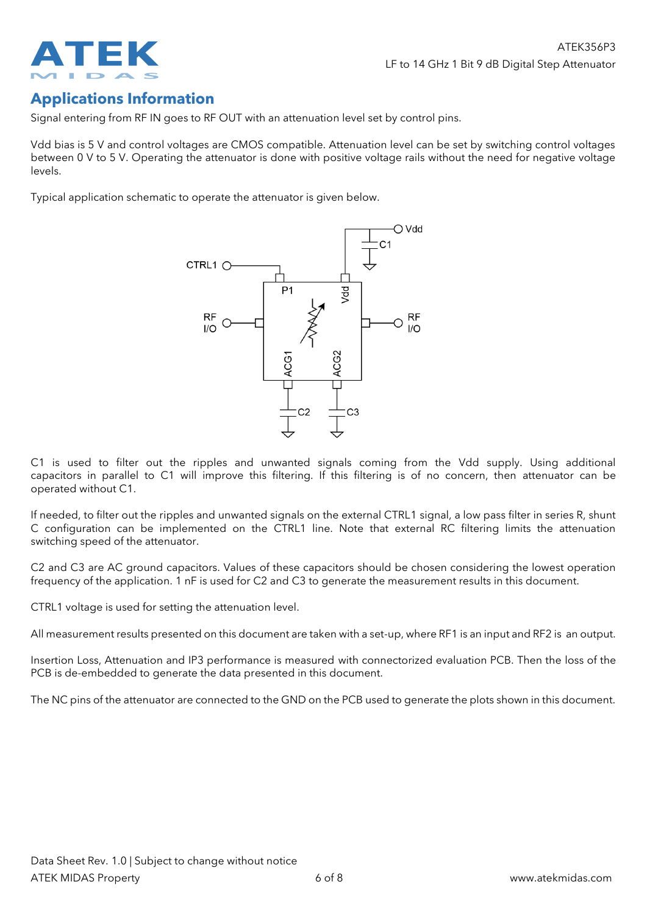

## **Applications Information**

Signal entering from RF IN goes to RF OUT with an attenuation level set by control pins.

Vdd bias is 5 V and control voltages are CMOS compatible. Attenuation level can be set by switching control voltages between 0 V to 5 V. Operating the attenuator is done with positive voltage rails without the need for negative voltage levels.

Typical application schematic to operate the attenuator is given below.



C1 is used to filter out the ripples and unwanted signals coming from the Vdd supply. Using additional capacitors in parallel to C1 will improve this filtering. If this filtering is of no concern, then attenuator can be operated without C1.

If needed, to filter out the ripples and unwanted signals on the external CTRL1 signal, a low pass filter in series R, shunt C configuration can be implemented on the CTRL1 line. Note that external RC filtering limits the attenuation switching speed of the attenuator.

C2 and C3 are AC ground capacitors. Values of these capacitors should be chosen considering the lowest operation frequency of the application. 1 nF is used for C2 and C3 to generate the measurement results in this document.

CTRL1 voltage is used for setting the attenuation level.

All measurement results presented on this document are taken with a set-up, where RF1 is an input and RF2 is an output.

Insertion Loss, Attenuation and IP3 performance is measured with connectorized evaluation PCB. Then the loss of the PCB is de-embedded to generate the data presented in this document.

The NC pins of the attenuator are connected to the GND on the PCB used to generate the plots shown in this document.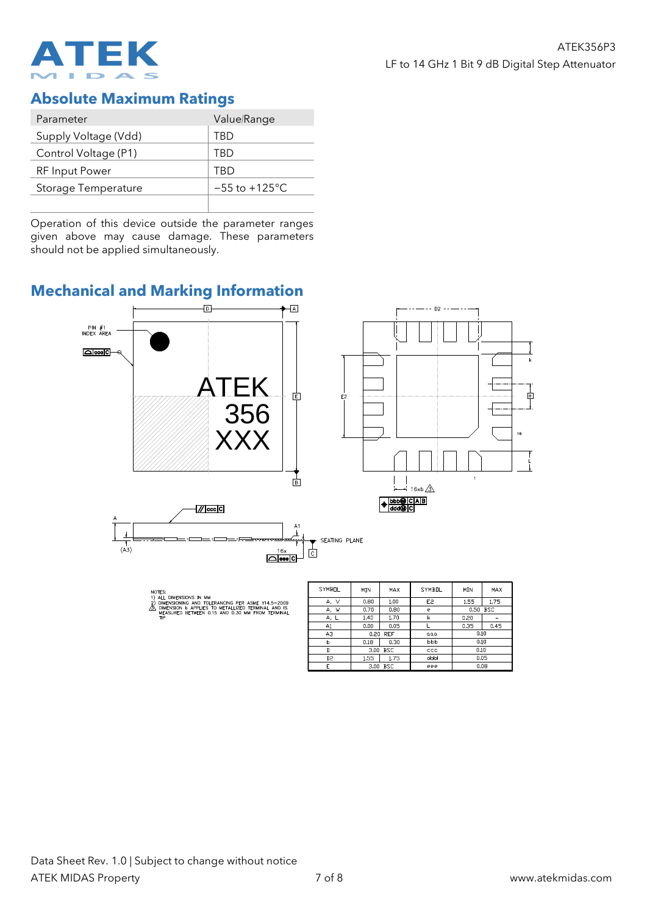

#### **Absolute Maximum Ratings**

| Parameter             | Value/Range        |  |
|-----------------------|--------------------|--|
| Supply Voltage (Vdd)  | TRD                |  |
| Control Voltage (P1)  | TRD                |  |
| <b>RF</b> Input Power | TRD                |  |
| Storage Temperature   | $-55$ to $+125$ °C |  |
|                       |                    |  |

Operation of this device outside the parameter ranges given above may cause damage. These parameters should not be applied simultaneously.

### **Mechanical and Marking Information**



 $\overline{D}$ 

 $\mathbf{r}$ 

3.00 BSC

 $1.55$  1.75

 $3.00$  BSC

 $\overline{0.10}$ 

 $0.05$ 

 $0.08$ 

 $ccc$ 

ddd

eee